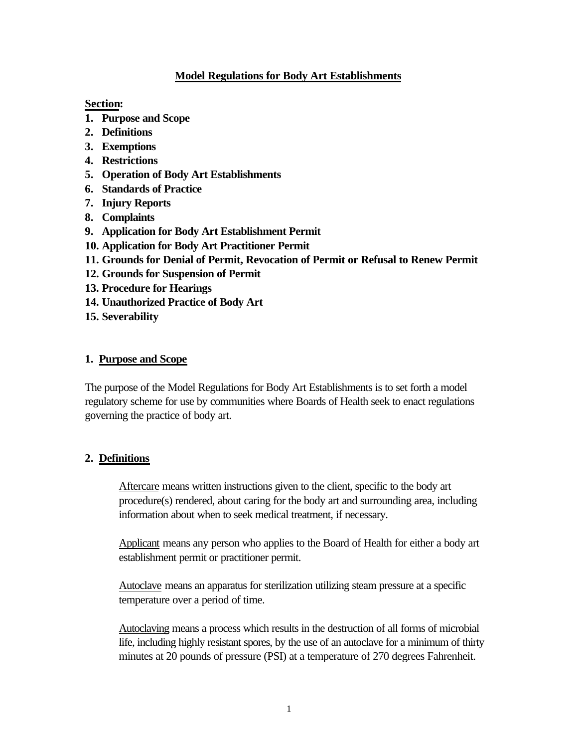### **Model Regulations for Body Art Establishments**

**Section:**

- **1. Purpose and Scope**
- **2. Definitions**
- **3. Exemptions**
- **4. Restrictions**
- **5. Operation of Body Art Establishments**
- **6. Standards of Practice**
- **7. Injury Reports**
- **8. Complaints**
- **9. Application for Body Art Establishment Permit**
- **10. Application for Body Art Practitioner Permit**
- **11. Grounds for Denial of Permit, Revocation of Permit or Refusal to Renew Permit**
- **12. Grounds for Suspension of Permit**
- **13. Procedure for Hearings**
- **14. Unauthorized Practice of Body Art**
- **15. Severability**

#### **1. Purpose and Scope**

The purpose of the Model Regulations for Body Art Establishments is to set forth a model regulatory scheme for use by communities where Boards of Health seek to enact regulations governing the practice of body art.

#### **2. Definitions**

Aftercare means written instructions given to the client, specific to the body art procedure(s) rendered, about caring for the body art and surrounding area, including information about when to seek medical treatment, if necessary.

Applicant means any person who applies to the Board of Health for either a body art establishment permit or practitioner permit.

Autoclave means an apparatus for sterilization utilizing steam pressure at a specific temperature over a period of time.

Autoclaving means a process which results in the destruction of all forms of microbial life, including highly resistant spores, by the use of an autoclave for a minimum of thirty minutes at 20 pounds of pressure (PSI) at a temperature of 270 degrees Fahrenheit.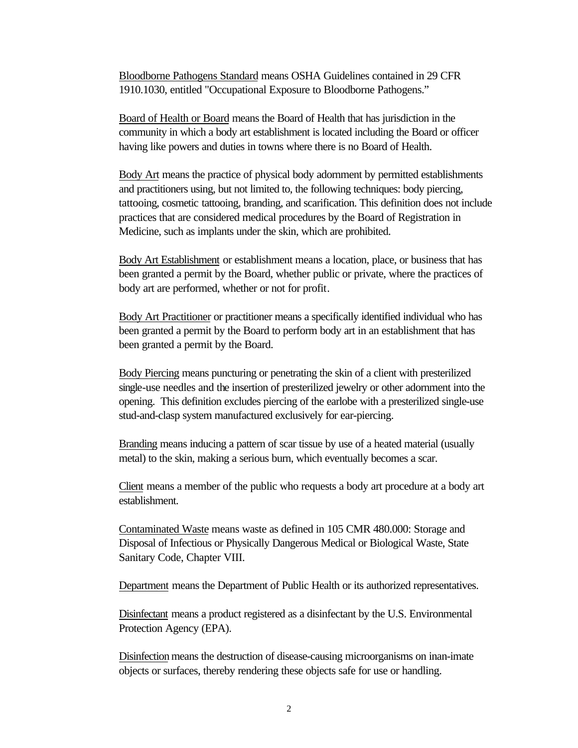Bloodborne Pathogens Standard means OSHA Guidelines contained in 29 CFR 1910.1030, entitled "Occupational Exposure to Bloodborne Pathogens."

Board of Health or Board means the Board of Health that has jurisdiction in the community in which a body art establishment is located including the Board or officer having like powers and duties in towns where there is no Board of Health.

Body Art means the practice of physical body adornment by permitted establishments and practitioners using, but not limited to, the following techniques: body piercing, tattooing, cosmetic tattooing, branding, and scarification. This definition does not include practices that are considered medical procedures by the Board of Registration in Medicine, such as implants under the skin, which are prohibited.

Body Art Establishment or establishment means a location, place, or business that has been granted a permit by the Board, whether public or private, where the practices of body art are performed, whether or not for profit.

Body Art Practitioner or practitioner means a specifically identified individual who has been granted a permit by the Board to perform body art in an establishment that has been granted a permit by the Board.

Body Piercing means puncturing or penetrating the skin of a client with presterilized single-use needles and the insertion of presterilized jewelry or other adornment into the opening. This definition excludes piercing of the earlobe with a presterilized single-use stud-and-clasp system manufactured exclusively for ear-piercing.

Branding means inducing a pattern of scar tissue by use of a heated material (usually metal) to the skin, making a serious burn, which eventually becomes a scar.

Client means a member of the public who requests a body art procedure at a body art establishment.

Contaminated Waste means waste as defined in 105 CMR 480.000: Storage and Disposal of Infectious or Physically Dangerous Medical or Biological Waste, State Sanitary Code, Chapter VIII.

Department means the Department of Public Health or its authorized representatives.

Disinfectant means a product registered as a disinfectant by the U.S. Environmental Protection Agency (EPA).

Disinfection means the destruction of disease-causing microorganisms on inan-imate objects or surfaces, thereby rendering these objects safe for use or handling.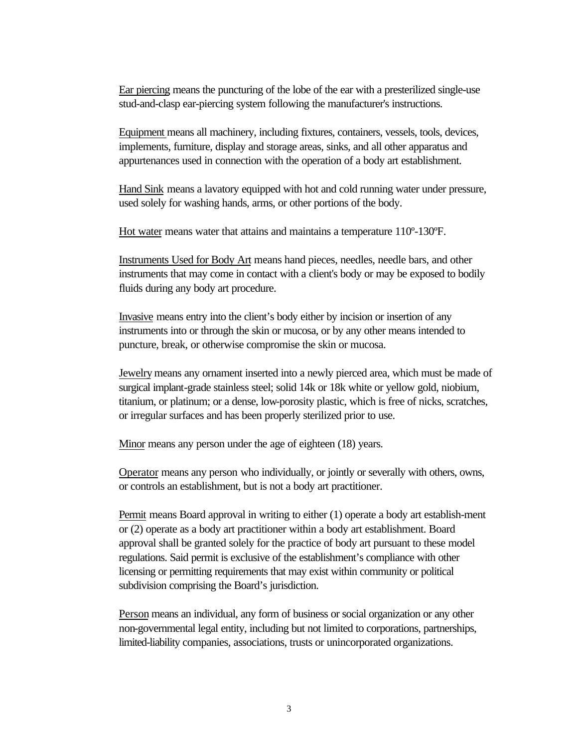Ear piercing means the puncturing of the lobe of the ear with a presterilized single-use stud-and-clasp ear-piercing system following the manufacturer's instructions.

Equipment means all machinery, including fixtures, containers, vessels, tools, devices, implements, furniture, display and storage areas, sinks, and all other apparatus and appurtenances used in connection with the operation of a body art establishment.

Hand Sink means a lavatory equipped with hot and cold running water under pressure, used solely for washing hands, arms, or other portions of the body.

Hot water means water that attains and maintains a temperature 110º-130ºF.

Instruments Used for Body Art means hand pieces, needles, needle bars, and other instruments that may come in contact with a client's body or may be exposed to bodily fluids during any body art procedure.

Invasive means entry into the client's body either by incision or insertion of any instruments into or through the skin or mucosa, or by any other means intended to puncture, break, or otherwise compromise the skin or mucosa.

Jewelry means any ornament inserted into a newly pierced area, which must be made of surgical implant-grade stainless steel; solid 14k or 18k white or yellow gold, niobium, titanium, or platinum; or a dense, low-porosity plastic, which is free of nicks, scratches, or irregular surfaces and has been properly sterilized prior to use.

Minor means any person under the age of eighteen (18) years.

Operator means any person who individually, or jointly or severally with others, owns, or controls an establishment, but is not a body art practitioner.

Permit means Board approval in writing to either (1) operate a body art establish-ment or (2) operate as a body art practitioner within a body art establishment. Board approval shall be granted solely for the practice of body art pursuant to these model regulations. Said permit is exclusive of the establishment's compliance with other licensing or permitting requirements that may exist within community or political subdivision comprising the Board's jurisdiction.

Person means an individual, any form of business or social organization or any other non-governmental legal entity, including but not limited to corporations, partnerships, limited-liability companies, associations, trusts or unincorporated organizations.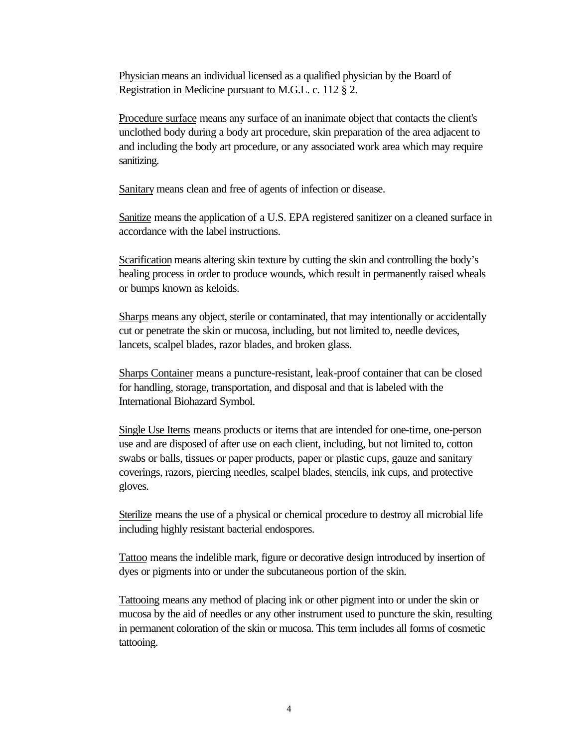Physician means an individual licensed as a qualified physician by the Board of Registration in Medicine pursuant to M.G.L. c. 112 § 2.

Procedure surface means any surface of an inanimate object that contacts the client's unclothed body during a body art procedure, skin preparation of the area adjacent to and including the body art procedure, or any associated work area which may require sanitizing.

Sanitary means clean and free of agents of infection or disease.

Sanitize means the application of a U.S. EPA registered sanitizer on a cleaned surface in accordance with the label instructions.

Scarification means altering skin texture by cutting the skin and controlling the body's healing process in order to produce wounds, which result in permanently raised wheals or bumps known as keloids.

Sharps means any object, sterile or contaminated, that may intentionally or accidentally cut or penetrate the skin or mucosa, including, but not limited to, needle devices, lancets, scalpel blades, razor blades, and broken glass.

Sharps Container means a puncture-resistant, leak-proof container that can be closed for handling, storage, transportation, and disposal and that is labeled with the International Biohazard Symbol.

Single Use Items means products or items that are intended for one-time, one-person use and are disposed of after use on each client, including, but not limited to, cotton swabs or balls, tissues or paper products, paper or plastic cups, gauze and sanitary coverings, razors, piercing needles, scalpel blades, stencils, ink cups, and protective gloves.

Sterilize means the use of a physical or chemical procedure to destroy all microbial life including highly resistant bacterial endospores.

Tattoo means the indelible mark, figure or decorative design introduced by insertion of dyes or pigments into or under the subcutaneous portion of the skin.

Tattooing means any method of placing ink or other pigment into or under the skin or mucosa by the aid of needles or any other instrument used to puncture the skin, resulting in permanent coloration of the skin or mucosa. This term includes all forms of cosmetic tattooing.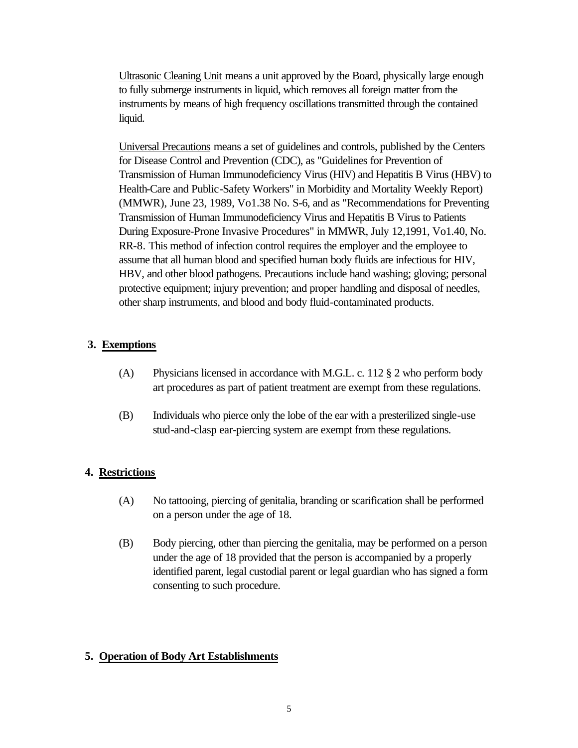Ultrasonic Cleaning Unit means a unit approved by the Board, physically large enough to fully submerge instruments in liquid, which removes all foreign matter from the instruments by means of high frequency oscillations transmitted through the contained liquid.

Universal Precautions means a set of guidelines and controls, published by the Centers for Disease Control and Prevention (CDC), as "Guidelines for Prevention of Transmission of Human Immunodeficiency Virus (HIV) and Hepatitis B Virus (HBV) to Health-Care and Public-Safety Workers" in Morbidity and Mortality Weekly Report) (MMWR), June 23, 1989, Vo1.38 No. S-6, and as "Recommendations for Preventing Transmission of Human Immunodeficiency Virus and Hepatitis B Virus to Patients During Exposure-Prone Invasive Procedures" in MMWR, July 12,1991, Vo1.40, No. RR-8. This method of infection control requires the employer and the employee to assume that all human blood and specified human body fluids are infectious for HIV, HBV, and other blood pathogens. Precautions include hand washing; gloving; personal protective equipment; injury prevention; and proper handling and disposal of needles, other sharp instruments, and blood and body fluid-contaminated products.

# **3. Exemptions**

- (A) Physicians licensed in accordance with M.G.L. c. 112 § 2 who perform body art procedures as part of patient treatment are exempt from these regulations.
- (B) Individuals who pierce only the lobe of the ear with a presterilized single-use stud-and-clasp ear-piercing system are exempt from these regulations.

# **4. Restrictions**

- (A) No tattooing, piercing of genitalia, branding or scarification shall be performed on a person under the age of 18.
- (B) Body piercing, other than piercing the genitalia, may be performed on a person under the age of 18 provided that the person is accompanied by a properly identified parent, legal custodial parent or legal guardian who has signed a form consenting to such procedure.

# **5. Operation of Body Art Establishments**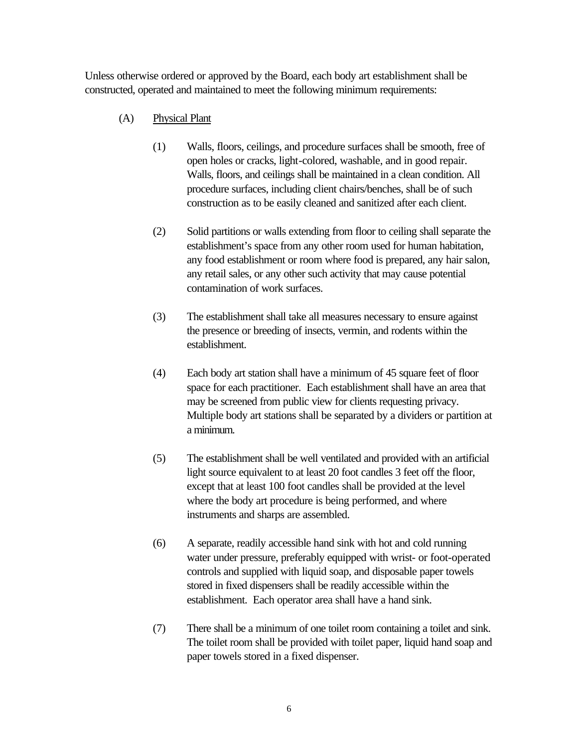Unless otherwise ordered or approved by the Board, each body art establishment shall be constructed, operated and maintained to meet the following minimum requirements:

- (A) Physical Plant
	- (1) Walls, floors, ceilings, and procedure surfaces shall be smooth, free of open holes or cracks, light-colored, washable, and in good repair. Walls, floors, and ceilings shall be maintained in a clean condition. All procedure surfaces, including client chairs/benches, shall be of such construction as to be easily cleaned and sanitized after each client.
	- (2) Solid partitions or walls extending from floor to ceiling shall separate the establishment's space from any other room used for human habitation, any food establishment or room where food is prepared, any hair salon, any retail sales, or any other such activity that may cause potential contamination of work surfaces.
	- (3) The establishment shall take all measures necessary to ensure against the presence or breeding of insects, vermin, and rodents within the establishment.
	- (4) Each body art station shall have a minimum of 45 square feet of floor space for each practitioner. Each establishment shall have an area that may be screened from public view for clients requesting privacy. Multiple body art stations shall be separated by a dividers or partition at a minimum.
	- (5) The establishment shall be well ventilated and provided with an artificial light source equivalent to at least 20 foot candles 3 feet off the floor, except that at least 100 foot candles shall be provided at the level where the body art procedure is being performed, and where instruments and sharps are assembled.
	- (6) A separate, readily accessible hand sink with hot and cold running water under pressure, preferably equipped with wrist- or foot-operated controls and supplied with liquid soap, and disposable paper towels stored in fixed dispensers shall be readily accessible within the establishment. Each operator area shall have a hand sink.
	- (7) There shall be a minimum of one toilet room containing a toilet and sink. The toilet room shall be provided with toilet paper, liquid hand soap and paper towels stored in a fixed dispenser.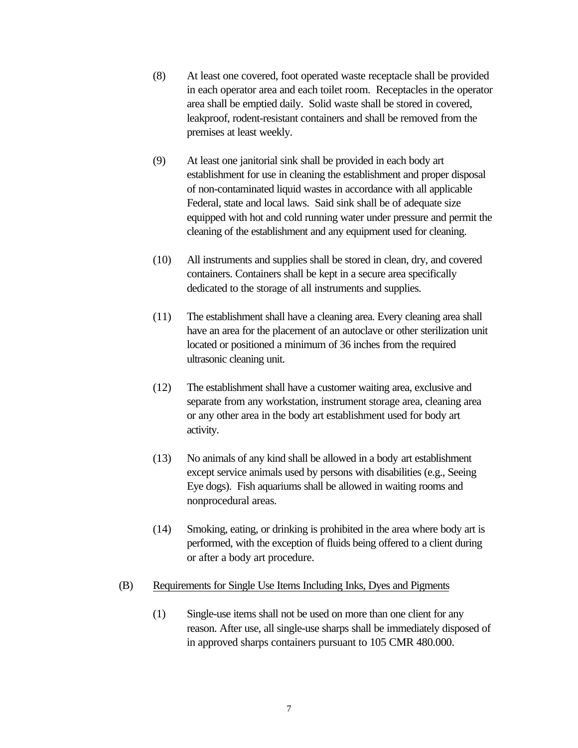- (8) At least one covered, foot operated waste receptacle shall be provided in each operator area and each toilet room. Receptacles in the operator area shall be emptied daily. Solid waste shall be stored in covered, leakproof, rodent-resistant containers and shall be removed from the premises at least weekly.
- (9) At least one janitorial sink shall be provided in each body art establishment for use in cleaning the establishment and proper disposal of non-contaminated liquid wastes in accordance with all applicable Federal, state and local laws. Said sink shall be of adequate size equipped with hot and cold running water under pressure and permit the cleaning of the establishment and any equipment used for cleaning.
- (10) All instruments and supplies shall be stored in clean, dry, and covered containers. Containers shall be kept in a secure area specifically dedicated to the storage of all instruments and supplies.
- (11) The establishment shall have a cleaning area. Every cleaning area shall have an area for the placement of an autoclave or other sterilization unit located or positioned a minimum of 36 inches from the required ultrasonic cleaning unit.
- (12) The establishment shall have a customer waiting area, exclusive and separate from any workstation, instrument storage area, cleaning area or any other area in the body art establishment used for body art activity.
- (13) No animals of any kind shall be allowed in a body art establishment except service animals used by persons with disabilities (e.g., Seeing Eye dogs). Fish aquariums shall be allowed in waiting rooms and nonprocedural areas.
- (14) Smoking, eating, or drinking is prohibited in the area where body art is performed, with the exception of fluids being offered to a client during or after a body art procedure.
- (B) Requirements for Single Use Items Including Inks, Dyes and Pigments
	- (1) Single-use items shall not be used on more than one client for any reason. After use, all single-use sharps shall be immediately disposed of in approved sharps containers pursuant to 105 CMR 480.000.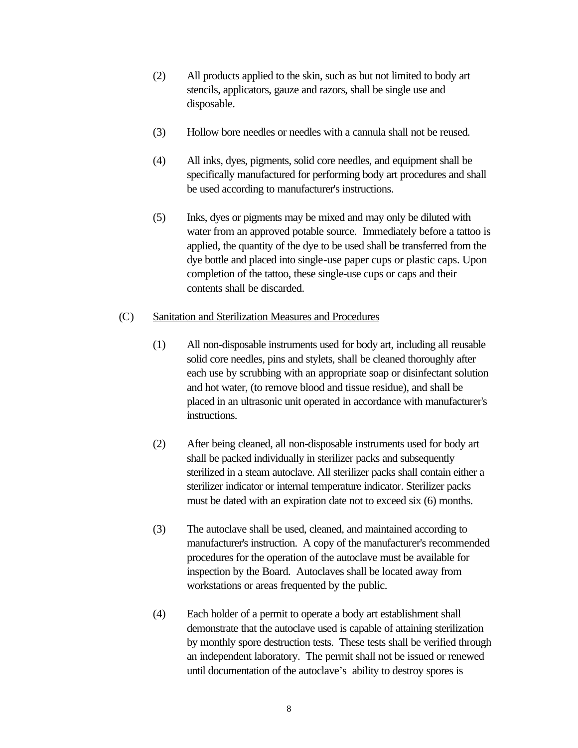- (2) All products applied to the skin, such as but not limited to body art stencils, applicators, gauze and razors, shall be single use and disposable.
- (3) Hollow bore needles or needles with a cannula shall not be reused.
- (4) All inks, dyes, pigments, solid core needles, and equipment shall be specifically manufactured for performing body art procedures and shall be used according to manufacturer's instructions.
- (5) Inks, dyes or pigments may be mixed and may only be diluted with water from an approved potable source. Immediately before a tattoo is applied, the quantity of the dye to be used shall be transferred from the dye bottle and placed into single-use paper cups or plastic caps. Upon completion of the tattoo, these single-use cups or caps and their contents shall be discarded.

#### (C) Sanitation and Sterilization Measures and Procedures

- (1) All non-disposable instruments used for body art, including all reusable solid core needles, pins and stylets, shall be cleaned thoroughly after each use by scrubbing with an appropriate soap or disinfectant solution and hot water, (to remove blood and tissue residue), and shall be placed in an ultrasonic unit operated in accordance with manufacturer's instructions.
- (2) After being cleaned, all non-disposable instruments used for body art shall be packed individually in sterilizer packs and subsequently sterilized in a steam autoclave. All sterilizer packs shall contain either a sterilizer indicator or internal temperature indicator. Sterilizer packs must be dated with an expiration date not to exceed six (6) months.
- (3) The autoclave shall be used, cleaned, and maintained according to manufacturer's instruction. A copy of the manufacturer's recommended procedures for the operation of the autoclave must be available for inspection by the Board. Autoclaves shall be located away from workstations or areas frequented by the public.
- (4) Each holder of a permit to operate a body art establishment shall demonstrate that the autoclave used is capable of attaining sterilization by monthly spore destruction tests. These tests shall be verified through an independent laboratory. The permit shall not be issued or renewed until documentation of the autoclave's ability to destroy spores is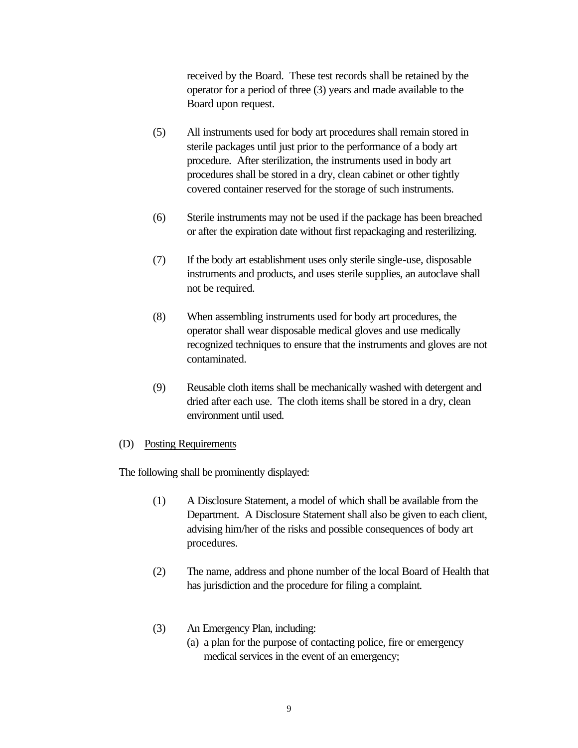received by the Board. These test records shall be retained by the operator for a period of three (3) years and made available to the Board upon request.

- (5) All instruments used for body art procedures shall remain stored in sterile packages until just prior to the performance of a body art procedure. After sterilization, the instruments used in body art procedures shall be stored in a dry, clean cabinet or other tightly covered container reserved for the storage of such instruments.
- (6) Sterile instruments may not be used if the package has been breached or after the expiration date without first repackaging and resterilizing.
- (7) If the body art establishment uses only sterile single-use, disposable instruments and products, and uses sterile supplies, an autoclave shall not be required.
- (8) When assembling instruments used for body art procedures, the operator shall wear disposable medical gloves and use medically recognized techniques to ensure that the instruments and gloves are not contaminated.
- (9) Reusable cloth items shall be mechanically washed with detergent and dried after each use. The cloth items shall be stored in a dry, clean environment until used.

#### (D) Posting Requirements

The following shall be prominently displayed:

- (1) A Disclosure Statement, a model of which shall be available from the Department. A Disclosure Statement shall also be given to each client, advising him/her of the risks and possible consequences of body art procedures.
- (2) The name, address and phone number of the local Board of Health that has jurisdiction and the procedure for filing a complaint.
- (3) An Emergency Plan, including:
	- (a) a plan for the purpose of contacting police, fire or emergency medical services in the event of an emergency;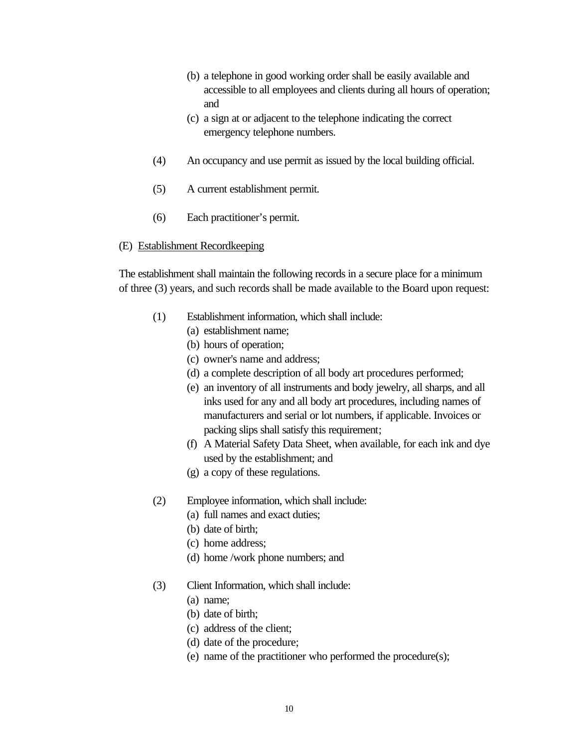- (b) a telephone in good working order shall be easily available and accessible to all employees and clients during all hours of operation; and
- (c) a sign at or adjacent to the telephone indicating the correct emergency telephone numbers.
- (4)An occupancy and use permit as issued by the local building official.
- (5) A current establishment permit.
- (6) Each practitioner's permit.

#### (E) Establishment Recordkeeping

The establishment shall maintain the following records in a secure place for a minimum of three (3) years, and such records shall be made available to the Board upon request:

- (1) Establishment information, which shall include:
	- (a) establishment name;
	- (b) hours of operation;
	- (c) owner's name and address;
	- (d) a complete description of all body art procedures performed;
	- (e) an inventory of all instruments and body jewelry, all sharps, and all inks used for any and all body art procedures, including names of manufacturers and serial or lot numbers, if applicable. Invoices or packing slips shall satisfy this requirement;
	- (f) A Material Safety Data Sheet, when available, for each ink and dye used by the establishment; and
	- (g) a copy of these regulations.
- (2) Employee information, which shall include:
	- (a) full names and exact duties;
	- (b) date of birth;
	- (c) home address;
	- (d) home /work phone numbers; and
- (3) Client Information, which shall include:
	- (a) name;
	- (b) date of birth;
	- (c) address of the client;
	- (d) date of the procedure;
	- (e) name of the practitioner who performed the procedure(s);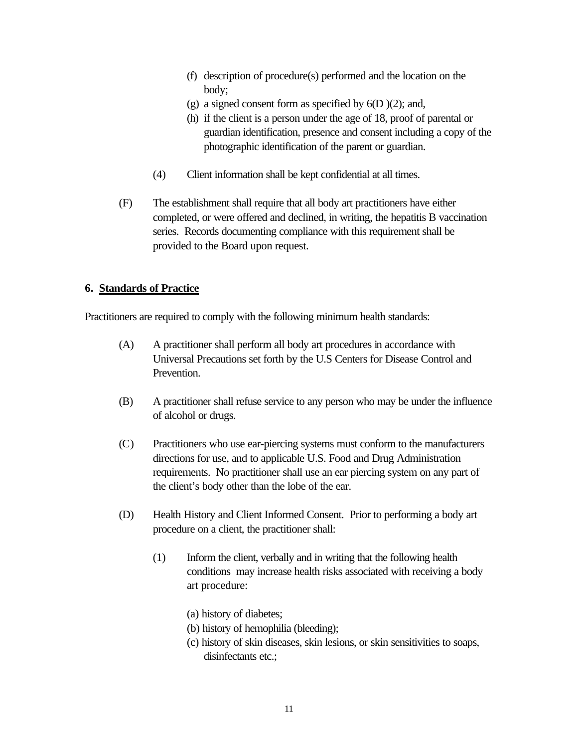- (f) description of procedure(s) performed and the location on the body;
- (g) a signed consent form as specified by  $6(D)(2)$ ; and,
- (h) if the client is a person under the age of 18, proof of parental or guardian identification, presence and consent including a copy of the photographic identification of the parent or guardian.
- (4) Client information shall be kept confidential at all times.
- (F) The establishment shall require that all body art practitioners have either completed, or were offered and declined, in writing, the hepatitis B vaccination series. Records documenting compliance with this requirement shall be provided to the Board upon request.

### **6. Standards of Practice**

Practitioners are required to comply with the following minimum health standards:

- (A) A practitioner shall perform all body art procedures in accordance with Universal Precautions set forth by the U.S Centers for Disease Control and Prevention.
- (B) A practitioner shall refuse service to any person who may be under the influence of alcohol or drugs.
- (C) Practitioners who use ear-piercing systems must conform to the manufacturers directions for use, and to applicable U.S. Food and Drug Administration requirements. No practitioner shall use an ear piercing system on any part of the client's body other than the lobe of the ear.
- (D) Health History and Client Informed Consent. Prior to performing a body art procedure on a client, the practitioner shall:
	- (1) Inform the client, verbally and in writing that the following health conditions may increase health risks associated with receiving a body art procedure:
		- (a) history of diabetes;
		- (b) history of hemophilia (bleeding);
		- (c) history of skin diseases, skin lesions, or skin sensitivities to soaps, disinfectants etc.: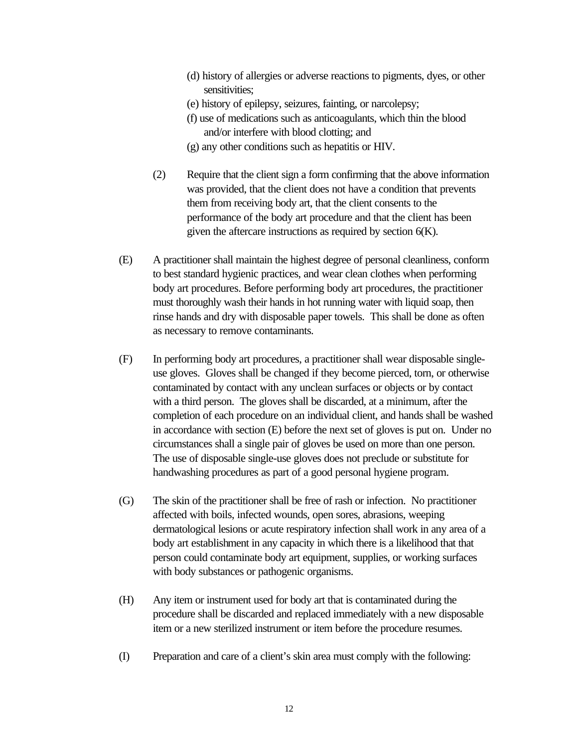- (d) history of allergies or adverse reactions to pigments, dyes, or other sensitivities:
- (e) history of epilepsy, seizures, fainting, or narcolepsy;
- (f) use of medications such as anticoagulants, which thin the blood and/or interfere with blood clotting; and
- (g) any other conditions such as hepatitis or HIV.
- (2) Require that the client sign a form confirming that the above information was provided, that the client does not have a condition that prevents them from receiving body art, that the client consents to the performance of the body art procedure and that the client has been given the aftercare instructions as required by section  $6(K)$ .
- (E) A practitioner shall maintain the highest degree of personal cleanliness, conform to best standard hygienic practices, and wear clean clothes when performing body art procedures. Before performing body art procedures, the practitioner must thoroughly wash their hands in hot running water with liquid soap, then rinse hands and dry with disposable paper towels. This shall be done as often as necessary to remove contaminants.
- (F) In performing body art procedures, a practitioner shall wear disposable singleuse gloves. Gloves shall be changed if they become pierced, torn, or otherwise contaminated by contact with any unclean surfaces or objects or by contact with a third person. The gloves shall be discarded, at a minimum, after the completion of each procedure on an individual client, and hands shall be washed in accordance with section (E) before the next set of gloves is put on. Under no circumstances shall a single pair of gloves be used on more than one person. The use of disposable single-use gloves does not preclude or substitute for handwashing procedures as part of a good personal hygiene program.
- (G) The skin of the practitioner shall be free of rash or infection. No practitioner affected with boils, infected wounds, open sores, abrasions, weeping dermatological lesions or acute respiratory infection shall work in any area of a body art establishment in any capacity in which there is a likelihood that that person could contaminate body art equipment, supplies, or working surfaces with body substances or pathogenic organisms.
- (H) Any item or instrument used for body art that is contaminated during the procedure shall be discarded and replaced immediately with a new disposable item or a new sterilized instrument or item before the procedure resumes.
- (I) Preparation and care of a client's skin area must comply with the following: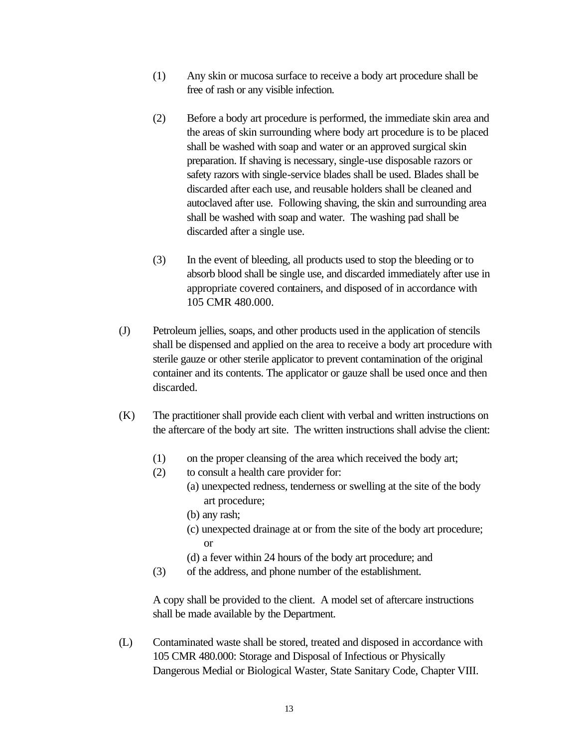- (1) Any skin or mucosa surface to receive a body art procedure shall be free of rash or any visible infection.
- (2) Before a body art procedure is performed, the immediate skin area and the areas of skin surrounding where body art procedure is to be placed shall be washed with soap and water or an approved surgical skin preparation. If shaving is necessary, single-use disposable razors or safety razors with single-service blades shall be used. Blades shall be discarded after each use, and reusable holders shall be cleaned and autoclaved after use. Following shaving, the skin and surrounding area shall be washed with soap and water. The washing pad shall be discarded after a single use.
- (3) In the event of bleeding, all products used to stop the bleeding or to absorb blood shall be single use, and discarded immediately after use in appropriate covered containers, and disposed of in accordance with 105 CMR 480.000.
- (J) Petroleum jellies, soaps, and other products used in the application of stencils shall be dispensed and applied on the area to receive a body art procedure with sterile gauze or other sterile applicator to prevent contamination of the original container and its contents. The applicator or gauze shall be used once and then discarded.
- (K) The practitioner shall provide each client with verbal and written instructions on the aftercare of the body art site. The written instructions shall advise the client:
	- (1) on the proper cleansing of the area which received the body art;
	- (2) to consult a health care provider for:
		- (a) unexpected redness, tenderness or swelling at the site of the body art procedure;
		- (b) any rash;
		- (c) unexpected drainage at or from the site of the body art procedure; or
		- (d) a fever within 24 hours of the body art procedure; and
	- (3) of the address, and phone number of the establishment.

A copy shall be provided to the client. A model set of aftercare instructions shall be made available by the Department.

(L) Contaminated waste shall be stored, treated and disposed in accordance with 105 CMR 480.000: Storage and Disposal of Infectious or Physically Dangerous Medial or Biological Waster, State Sanitary Code, Chapter VIII.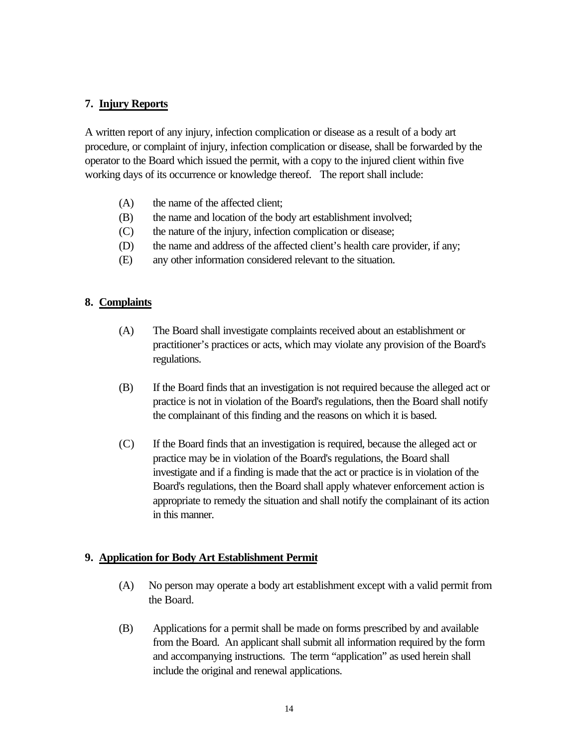#### **7. Injury Reports**

A written report of any injury, infection complication or disease as a result of a body art procedure, or complaint of injury, infection complication or disease, shall be forwarded by the operator to the Board which issued the permit, with a copy to the injured client within five working days of its occurrence or knowledge thereof. The report shall include:

- (A) the name of the affected client;
- (B) the name and location of the body art establishment involved;
- (C) the nature of the injury, infection complication or disease;
- (D) the name and address of the affected client's health care provider, if any;
- (E) any other information considered relevant to the situation.

### **8. Complaints**

- (A) The Board shall investigate complaints received about an establishment or practitioner's practices or acts, which may violate any provision of the Board's regulations.
- (B) If the Board finds that an investigation is not required because the alleged act or practice is not in violation of the Board's regulations, then the Board shall notify the complainant of this finding and the reasons on which it is based.
- (C) If the Board finds that an investigation is required, because the alleged act or practice may be in violation of the Board's regulations, the Board shall investigate and if a finding is made that the act or practice is in violation of the Board's regulations, then the Board shall apply whatever enforcement action is appropriate to remedy the situation and shall notify the complainant of its action in this manner.

#### **9. Application for Body Art Establishment Permit**

- (A) No person may operate a body art establishment except with a valid permit from the Board.
- (B) Applications for a permit shall be made on forms prescribed by and available from the Board. An applicant shall submit all information required by the form and accompanying instructions. The term "application" as used herein shall include the original and renewal applications.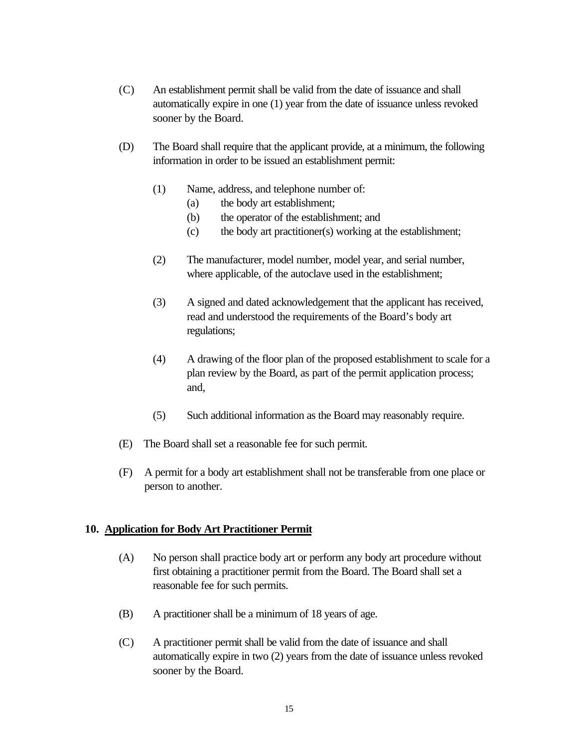- (C) An establishment permit shall be valid from the date of issuance and shall automatically expire in one (1) year from the date of issuance unless revoked sooner by the Board.
- (D) The Board shall require that the applicant provide, at a minimum, the following information in order to be issued an establishment permit:
	- (1) Name, address, and telephone number of:
		- (a) the body art establishment;
		- (b) the operator of the establishment; and
		- (c) the body art practitioner(s) working at the establishment;
	- (2) The manufacturer, model number, model year, and serial number, where applicable, of the autoclave used in the establishment;
	- (3) A signed and dated acknowledgement that the applicant has received, read and understood the requirements of the Board's body art regulations;
	- (4) A drawing of the floor plan of the proposed establishment to scale for a plan review by the Board, as part of the permit application process; and,
	- (5) Such additional information as the Board may reasonably require.
- (E) The Board shall set a reasonable fee for such permit.
- (F) A permit for a body art establishment shall not be transferable from one place or person to another.

#### **10. Application for Body Art Practitioner Permit**

- (A) No person shall practice body art or perform any body art procedure without first obtaining a practitioner permit from the Board. The Board shall set a reasonable fee for such permits.
- (B) A practitioner shall be a minimum of 18 years of age.
- (C) A practitioner permit shall be valid from the date of issuance and shall automatically expire in two (2) years from the date of issuance unless revoked sooner by the Board.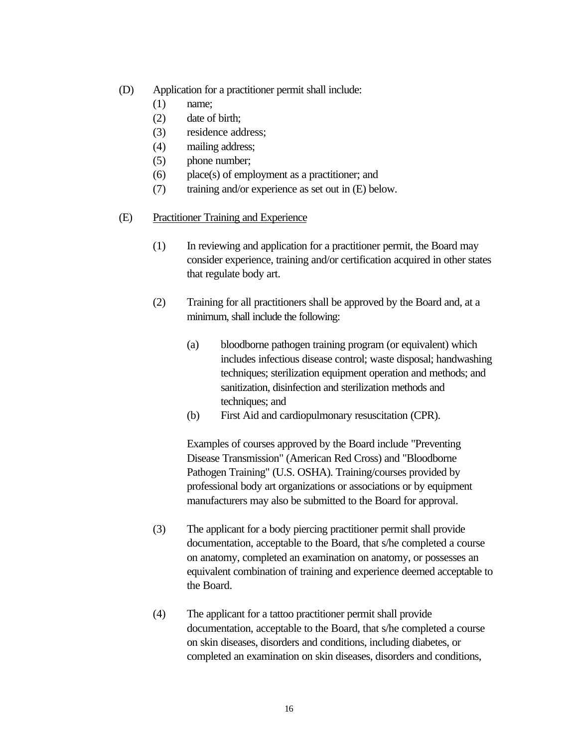- (D) Application for a practitioner permit shall include:
	- (1) name;
	- (2) date of birth;
	- (3) residence address;
	- (4) mailing address;
	- (5) phone number;
	- (6) place(s) of employment as a practitioner; and
	- (7) training and/or experience as set out in (E) below.
- (E) Practitioner Training and Experience
	- (1) In reviewing and application for a practitioner permit, the Board may consider experience, training and/or certification acquired in other states that regulate body art.
	- (2) Training for all practitioners shall be approved by the Board and, at a minimum, shall include the following:
		- (a) bloodborne pathogen training program (or equivalent) which includes infectious disease control; waste disposal; handwashing techniques; sterilization equipment operation and methods; and sanitization, disinfection and sterilization methods and techniques; and
		- (b) First Aid and cardiopulmonary resuscitation (CPR).

Examples of courses approved by the Board include "Preventing Disease Transmission" (American Red Cross) and "Bloodborne Pathogen Training" (U.S. OSHA). Training/courses provided by professional body art organizations or associations or by equipment manufacturers may also be submitted to the Board for approval.

- (3) The applicant for a body piercing practitioner permit shall provide documentation, acceptable to the Board, that s/he completed a course on anatomy, completed an examination on anatomy, or possesses an equivalent combination of training and experience deemed acceptable to the Board.
- (4) The applicant for a tattoo practitioner permit shall provide documentation, acceptable to the Board, that s/he completed a course on skin diseases, disorders and conditions, including diabetes, or completed an examination on skin diseases, disorders and conditions,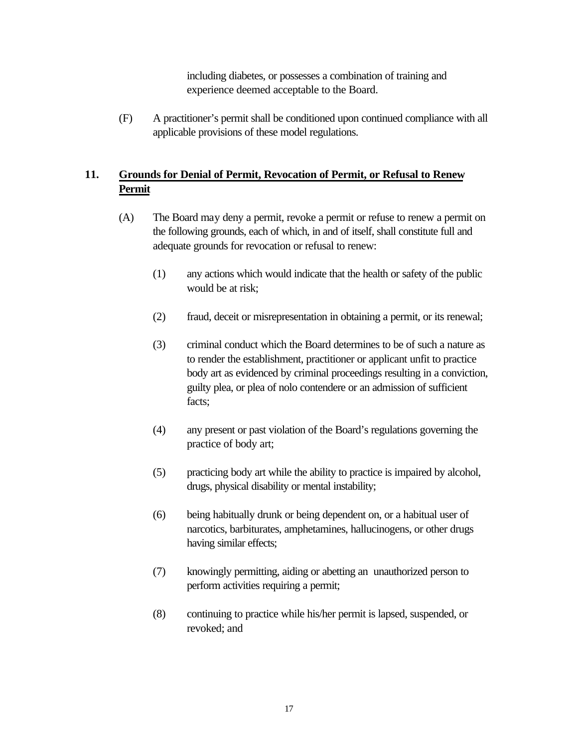including diabetes, or possesses a combination of training and experience deemed acceptable to the Board.

(F) A practitioner's permit shall be conditioned upon continued compliance with all applicable provisions of these model regulations.

# **11. Grounds for Denial of Permit, Revocation of Permit, or Refusal to Renew Permit**

- (A) The Board may deny a permit, revoke a permit or refuse to renew a permit on the following grounds, each of which, in and of itself, shall constitute full and adequate grounds for revocation or refusal to renew:
	- (1) any actions which would indicate that the health or safety of the public would be at risk;
	- (2) fraud, deceit or misrepresentation in obtaining a permit, or its renewal;
	- (3) criminal conduct which the Board determines to be of such a nature as to render the establishment, practitioner or applicant unfit to practice body art as evidenced by criminal proceedings resulting in a conviction, guilty plea, or plea of nolo contendere or an admission of sufficient facts;
	- (4) any present or past violation of the Board's regulations governing the practice of body art;
	- (5) practicing body art while the ability to practice is impaired by alcohol, drugs, physical disability or mental instability;
	- (6) being habitually drunk or being dependent on, or a habitual user of narcotics, barbiturates, amphetamines, hallucinogens, or other drugs having similar effects;
	- (7) knowingly permitting, aiding or abetting an unauthorized person to perform activities requiring a permit;
	- (8) continuing to practice while his/her permit is lapsed, suspended, or revoked; and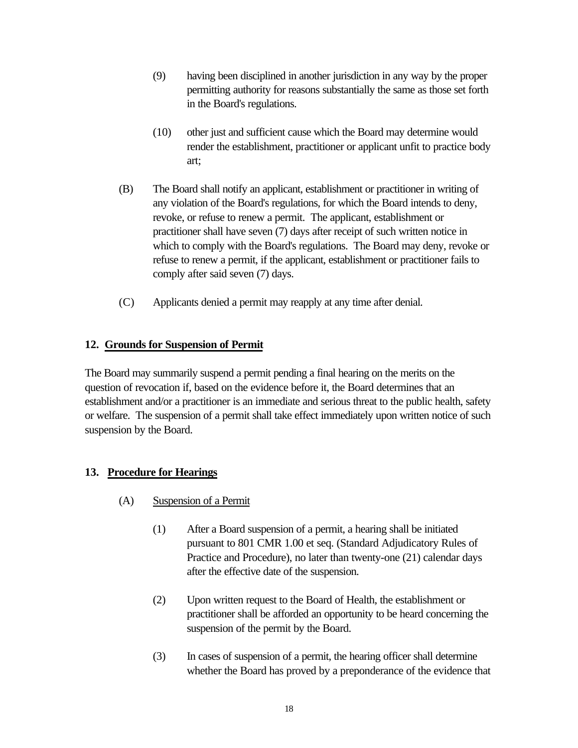- (9) having been disciplined in another jurisdiction in any way by the proper permitting authority for reasons substantially the same as those set forth in the Board's regulations.
- (10) other just and sufficient cause which the Board may determine would render the establishment, practitioner or applicant unfit to practice body art;
- (B) The Board shall notify an applicant, establishment or practitioner in writing of any violation of the Board's regulations, for which the Board intends to deny, revoke, or refuse to renew a permit. The applicant, establishment or practitioner shall have seven (7) days after receipt of such written notice in which to comply with the Board's regulations. The Board may deny, revoke or refuse to renew a permit, if the applicant, establishment or practitioner fails to comply after said seven (7) days.
- (C) Applicants denied a permit may reapply at any time after denial.

# **12. Grounds for Suspension of Permit**

The Board may summarily suspend a permit pending a final hearing on the merits on the question of revocation if, based on the evidence before it, the Board determines that an establishment and/or a practitioner is an immediate and serious threat to the public health, safety or welfare. The suspension of a permit shall take effect immediately upon written notice of such suspension by the Board.

# **13. Procedure for Hearings**

- (A) Suspension of a Permit
	- (1) After a Board suspension of a permit, a hearing shall be initiated pursuant to 801 CMR 1.00 et seq. (Standard Adjudicatory Rules of Practice and Procedure), no later than twenty-one (21) calendar days after the effective date of the suspension.
	- (2) Upon written request to the Board of Health, the establishment or practitioner shall be afforded an opportunity to be heard concerning the suspension of the permit by the Board.
	- (3) In cases of suspension of a permit, the hearing officer shall determine whether the Board has proved by a preponderance of the evidence that